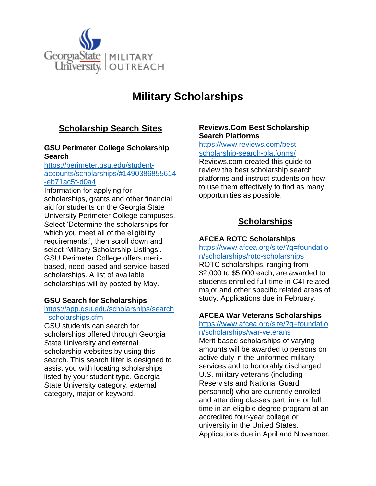

# **Military Scholarships**

## **Scholarship Search Sites**

## **GSU Perimeter College Scholarship Search**

#### [https://perimeter.gsu.edu/student](https://perimeter.gsu.edu/student-accounts/scholarships/#1490386855614-eb71ac5f-d0a4)[accounts/scholarships/#1490386855614](https://perimeter.gsu.edu/student-accounts/scholarships/#1490386855614-eb71ac5f-d0a4) [-eb71ac5f-d0a4](https://perimeter.gsu.edu/student-accounts/scholarships/#1490386855614-eb71ac5f-d0a4)

Information for applying for scholarships, grants and other financial aid for students on the Georgia State University Perimeter College campuses. Select 'Determine the scholarships for which you meet all of the eligibility requirements:', then scroll down and select 'Military Scholarship Listings'. GSU Perimeter College offers meritbased, need-based and service-based scholarships. A list of available scholarships will by posted by May.

## **GSU Search for Scholarships**

#### [https://app.gsu.edu/scholarships/search](https://app.gsu.edu/scholarships/search_scholarships.cfm) scholarships.cfm

GSU students can search for scholarships offered through Georgia State University and external scholarship websites by using this search. This search filter is designed to assist you with locating scholarships listed by your student type, Georgia State University category, external category, major or keyword.

#### **Reviews.Com Best Scholarship Search Platforms**

## [https://www.reviews.com/best](https://www.reviews.com/best-scholarship-search-platforms/)[scholarship-search-platforms/](https://www.reviews.com/best-scholarship-search-platforms/)

Reviews.com created this guide to review the best scholarship search platforms and instruct students on how to use them effectively to find as many opportunities as possible.

## **Scholarships**

## **AFCEA [ROTC Scholarships](http://www.afcea.org/site/?q=foundation/scholarships/rotc-scholarships)**

[https://www.afcea.org/site/?q=foundatio](https://www.afcea.org/site/?q=foundation/scholarships/rotc-scholarships) [n/scholarships/rotc-scholarships](https://www.afcea.org/site/?q=foundation/scholarships/rotc-scholarships)

ROTC scholarships, ranging from \$2,000 to \$5,000 each, are awarded to students enrolled full-time in C4I-related major and other specific related areas of study. Applications due in February.

## **AFCEA [War Veterans Scholarships](http://www.afcea.org/site/?q=foundation/scholarships/war-veterans)**

#### [https://www.afcea.org/site/?q=foundatio](https://www.afcea.org/site/?q=foundation/scholarships/war-veterans) [n/scholarships/war-veterans](https://www.afcea.org/site/?q=foundation/scholarships/war-veterans)

Merit-based scholarships of varying amounts will be awarded to persons on active duty in the uniformed military services and to honorably discharged U.S. military veterans (including Reservists and National Guard personnel) who are currently enrolled and attending classes part time or full time in an eligible degree program at an accredited four-year college or university in the United States. Applications due in April and November.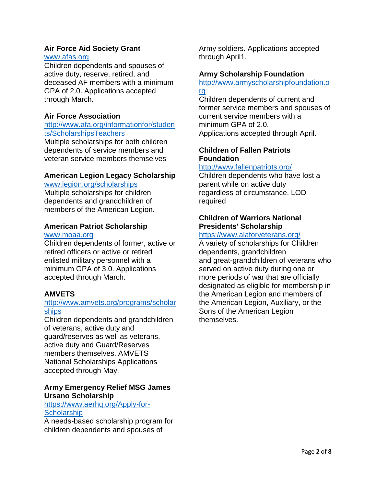#### **Air Force Aid Society Grant** [www.afas.org](http://www.afas.org/)

Children dependents and spouses of active duty, reserve, retired, and deceased AF members with a minimum GPA of 2.0. Applications accepted through March.

## **Air Force Association**

### [http://www.afa.org/informationfor/studen](http://www.afa.org/informationfor/students/ScholarshipsTeachers) [ts/ScholarshipsTeachers](http://www.afa.org/informationfor/students/ScholarshipsTeachers)

Multiple scholarships for both children dependents of service members and veteran service members themselves

## **American Legion Legacy Scholarship**

[www.legion.org/scholarships](http://www.legion.org/scholarships)

Multiple scholarships for children dependents and grandchildren of members of the American Legion.

## **American Patriot Scholarship**

#### [www.moaa.org](http://www.moaa.org/)

Children dependents of former, active or retired officers or active or retired enlisted military personnel with a minimum GPA of 3.0. Applications accepted through March.

#### **AMVETS**

#### [http://www.amvets.org/programs/scholar](http://www.amvets.org/programs/scholarships) [ships](http://www.amvets.org/programs/scholarships)

Children dependents and grandchildren of veterans, active duty and guard/reserves as well as veterans, active duty and Guard/Reserves members themselves. AMVETS National Scholarships Applications accepted through May.

#### **Army Emergency Relief MSG James Ursano Scholarship**

## [https://www.aerhq.org/Apply-for-](https://www.aerhq.org/Apply-for-Scholarship)**[Scholarship](https://www.aerhq.org/Apply-for-Scholarship)**

A needs-based scholarship program for children dependents and spouses of

Army soldiers. Applications accepted through April1.

## **Army Scholarship Foundation**

[http://www.armyscholarshipfoundation.o](http://www.armyscholarshipfoundation.org/) [rg](http://www.armyscholarshipfoundation.org/)

Children dependents of current and former service members and spouses of current service members with a minimum GPA of 2.0. Applications accepted through April.

## **Children of Fallen Patriots Foundation**

#### <http://www.fallenpatriots.org/>

Children dependents who have lost a parent while on active duty regardless of circumstance. LOD required

## **Children of Warriors National Presidents' Scholarship**

#### <https://www.alaforveterans.org/>

A variety of scholarships for Children dependents, grandchildren and great-grandchildren of veterans who served on active duty during one or more periods of war that are officially designated as eligible for membership in the American Legion and members of the American Legion, Auxiliary, or the Sons of the American Legion themselves.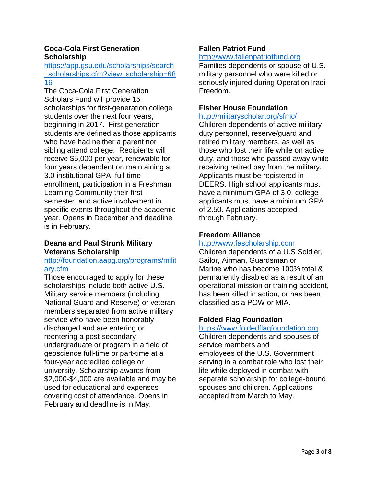## **Coca-Cola First Generation Scholarship**

[https://app.gsu.edu/scholarships/search](https://app.gsu.edu/scholarships/search_scholarships.cfm?view_scholarship=6816) [\\_scholarships.cfm?view\\_scholarship=68](https://app.gsu.edu/scholarships/search_scholarships.cfm?view_scholarship=6816) [16](https://app.gsu.edu/scholarships/search_scholarships.cfm?view_scholarship=6816)

The Coca-Cola First Generation Scholars Fund will provide 15 scholarships for first-generation college students over the next four years, beginning in 2017. First generation students are defined as those applicants who have had neither a parent nor sibling attend college. Recipients will receive \$5,000 per year, renewable for four years dependent on maintaining a 3.0 institutional GPA, full-time enrollment, participation in a Freshman Learning Community their first semester, and active involvement in specific events throughout the academic year. Opens in December and deadline is in February.

## **Deana and Paul Strunk Military Veterans Scholarship**

#### [http://foundation.aapg.org/programs/milit](http://foundation.aapg.org/programs/military.cfm) [ary.cfm](http://foundation.aapg.org/programs/military.cfm)

Those encouraged to apply for these scholarships include both active U.S. Military service members (including National Guard and Reserve) or veteran members separated from active military service who have been honorably discharged and are entering or reentering a post-secondary undergraduate or program in a field of geoscience full-time or part-time at a four-year accredited college or university. Scholarship awards from \$2,000-\$4,000 are available and may be used for educational and expenses covering cost of attendance. Opens in February and deadline is in May.

# **Fallen Patriot Fund**

#### [http://www.fallenpatriotfund.org](http://www.fallenpatriotfund.org/)

Families dependents or spouse of U.S. military personnel who were killed or seriously injured during Operation Iraqi Freedom.

## **Fisher House Foundation**

#### <http://militaryscholar.org/sfmc/>

Children dependents of active military duty personnel, reserve/guard and retired military members, as well as those who lost their life while on active duty, and those who passed away while receiving retired pay from the military. Applicants must be registered in DEERS. High school applicants must have a minimum GPA of 3.0, college applicants must have a minimum GPA of 2.50. Applications accepted through February.

## **Freedom Alliance**

## [http://www.fascholarship.com](http://www.fascholarship.com/)

Children dependents of a U.S Soldier, Sailor, Airman, Guardsman or Marine who has become 100% total & permanently disabled as a result of an operational mission or training accident, has been killed in action, or has been classified as a POW or MIA.

## **Folded Flag Foundation**

[https://www.foldedflagfoundation.org](https://www.foldedflagfoundation.org/) Children dependents and spouses of service members and employees of the U.S. Government serving in a combat role who lost their life while deployed in combat with separate scholarship for college-bound spouses and children. Applications accepted from March to May.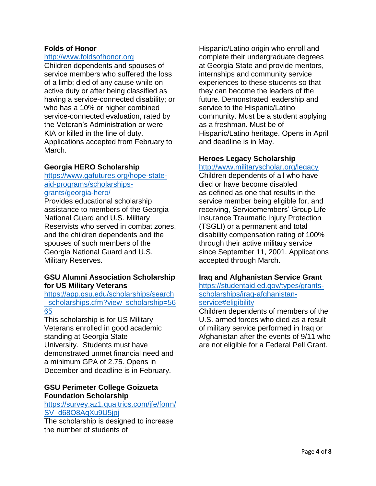### **Folds of Honor**

#### [http://www.foldsofhonor.org](http://www.foldsofhonor.org/)

Children dependents and spouses of service members who suffered the loss of a limb; died of any cause while on active duty or after being classified as having a service-connected disability; or who has a 10% or higher combined service-connected evaluation, rated by the Veteran's Administration or were KIA or killed in the line of duty. Applications accepted from February to March.

#### **Georgia HERO Scholarship**

[https://www.gafutures.org/hope-state](https://www.gafutures.org/hope-state-aid-programs/scholarships-grants/georgia-hero/)[aid-programs/scholarships](https://www.gafutures.org/hope-state-aid-programs/scholarships-grants/georgia-hero/)[grants/georgia-hero/](https://www.gafutures.org/hope-state-aid-programs/scholarships-grants/georgia-hero/)

Provides educational scholarship assistance to members of the Georgia National Guard and U.S. Military Reservists who served in combat zones, and the children dependents and the spouses of such members of the Georgia National Guard and U.S. Military Reserves.

#### **GSU Alumni Association Scholarship for US Military Veterans**

[https://app.gsu.edu/scholarships/search](https://app.gsu.edu/scholarships/search_scholarships.cfm?view_scholarship=5665) scholarships.cfm?view\_scholarship=56 [65](https://app.gsu.edu/scholarships/search_scholarships.cfm?view_scholarship=5665)

This scholarship is for US Military Veterans enrolled in good academic standing at Georgia State University. Students must have demonstrated unmet financial need and a minimum GPA of 2.75. Opens in December and deadline is in February.

#### **GSU Perimeter College Goizueta Foundation Scholarship**

[https://survey.az1.qualtrics.com/jfe/form/](https://survey.az1.qualtrics.com/jfe/form/SV_d68O8AqXu9U5jpj) [SV\\_d68O8AqXu9U5jpj](https://survey.az1.qualtrics.com/jfe/form/SV_d68O8AqXu9U5jpj)

The scholarship is designed to increase the number of students of

Hispanic/Latino origin who enroll and complete their undergraduate degrees at Georgia State and provide mentors, internships and community service experiences to these students so that they can become the leaders of the future. Demonstrated leadership and service to the Hispanic/Latino community. Must be a student applying as a freshman. Must be of Hispanic/Latino heritage. Opens in April and deadline is in May.

## **Heroes Legacy Scholarship**

<http://www.militaryscholar.org/legacy> Children dependents of all who have died or have become disabled as defined as one that results in the service member being eligible for, and receiving, Servicemembers' Group Life Insurance Traumatic Injury Protection (TSGLI) or a permanent and total disability compensation rating of 100% through their active military service since September 11, 2001. Applications accepted through March.

#### **Iraq and Afghanistan Service Grant**

[https://studentaid.ed.gov/types/grants](https://studentaid.ed.gov/types/grants-scholarships/iraq-afghanistan-service#eligibility)[scholarships/iraq-afghanistan](https://studentaid.ed.gov/types/grants-scholarships/iraq-afghanistan-service#eligibility)[service#eligibility](https://studentaid.ed.gov/types/grants-scholarships/iraq-afghanistan-service#eligibility)

Children dependents of members of the U.S. armed forces who died as a result of military service performed in Iraq or Afghanistan after the events of 9/11 who are not eligible for a Federal Pell Grant.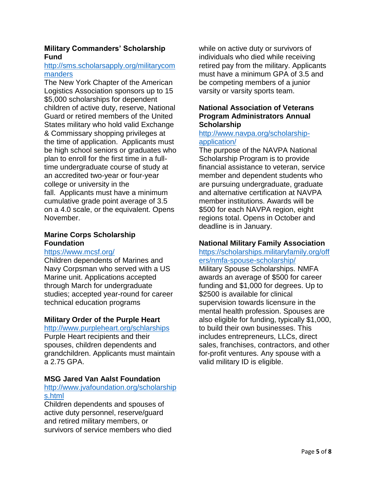## **Military Commanders' Scholarship Fund**

#### [http://sms.scholarsapply.org/militarycom](http://sms.scholarsapply.org/militarycommanders) [manders](http://sms.scholarsapply.org/militarycommanders)

The New York Chapter of the American Logistics Association sponsors up to 15 \$5,000 scholarships for dependent children of active duty, reserve, National Guard or retired members of the United States military who hold valid Exchange & Commissary shopping privileges at the time of application. Applicants must be high school seniors or graduates who plan to enroll for the first time in a fulltime undergraduate course of study at an accredited two-year or four-year college or university in the fall. Applicants must have a minimum cumulative grade point average of 3.5 on a 4.0 scale, or the equivalent. Opens November.

#### **Marine Corps Scholarship Foundation**

#### <https://www.mcsf.org/>

Children dependents of Marines and Navy Corpsman who served with a US Marine unit. Applications accepted through March for undergraduate studies; accepted year-round for career technical education programs

## **Military Order of the Purple Heart**

#### <http://www.purpleheart.org/schlarships>

Purple Heart recipients and their spouses, children dependents and grandchildren. Applicants must maintain a 2.75 GPA.

## **MSG Jared Van Aalst Foundation**

#### [http://www.jvafoundation.org/scholarship](http://www.jvafoundation.org/scholarships.html) [s.html](http://www.jvafoundation.org/scholarships.html)

Children dependents and spouses of active duty personnel, reserve/guard and retired military members, or survivors of service members who died while on active duty or survivors of individuals who died while receiving retired pay from the military. Applicants must have a minimum GPA of 3.5 and be competing members of a junior varsity or varsity sports team.

#### **National Association of Veterans Program Administrators Annual Scholarship**

#### [http://www.navpa.org/scholarship](http://www.navpa.org/scholarship-application/)[application/](http://www.navpa.org/scholarship-application/)

The purpose of the NAVPA National Scholarship Program is to provide financial assistance to veteran, service member and dependent students who are pursuing undergraduate, graduate and alternative certification at NAVPA member institutions. Awards will be \$500 for each NAVPA region, eight regions total. Opens in October and deadline is in January.

#### **National Military Family Association**

#### [https://scholarships.militaryfamily.org/off](https://scholarships.militaryfamily.org/offers/nmfa-spouse-scholarship/) [ers/nmfa-spouse-scholarship/](https://scholarships.militaryfamily.org/offers/nmfa-spouse-scholarship/)

Military Spouse Scholarships. NMFA awards an average of \$500 for career funding and \$1,000 for degrees. Up to \$2500 is available for clinical supervision towards licensure in the mental health profession. Spouses are also eligible for funding, typically \$1,000, to build their own businesses. This includes entrepreneurs, LLCs, direct sales, franchises, contractors, and other for-profit ventures. Any spouse with a valid military ID is eligible.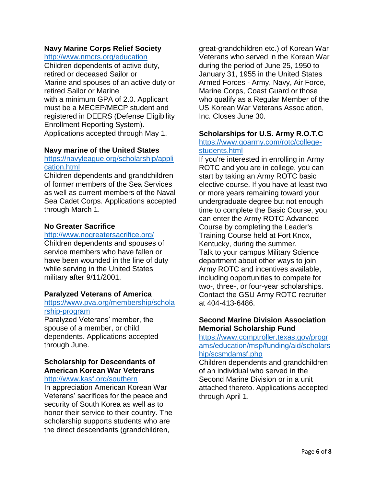## **Navy Marine Corps Relief Society**

<http://www.nmcrs.org/education>

Children dependents of active duty, retired or deceased Sailor or Marine and spouses of an active duty or retired Sailor or Marine with a minimum GPA of 2.0. Applicant must be a MECEP/MECP student and registered in DEERS (Defense Eligibility Enrollment Reporting System). Applications accepted through May 1.

## **Navy marine of the United States**

## [https://navyleague.org/scholarship/appli](https://navyleague.org/scholarship/application.html) [cation.html](https://navyleague.org/scholarship/application.html)

Children dependents and grandchildren of former members of the Sea Services as well as current members of the Naval Sea Cadet Corps. Applications accepted through March 1.

## **No Greater Sacrifice**

#### <http://www.nogreatersacrifice.org/>

Children dependents and spouses of service members who have fallen or have been wounded in the line of duty while serving in the United States military after 9/11/2001.

#### **Paralyzed Veterans of America**

## [https://www.pva.org/membership/schola](https://www.pva.org/membership/scholarship-program) [rship-program](https://www.pva.org/membership/scholarship-program)

Paralyzed Veterans' member, the spouse of a member, or child dependents. Applications accepted through June.

## **Scholarship for Descendants of American Korean War Veterans**

#### <http://www.kasf.org/southern>

In appreciation American Korean War Veterans' sacrifices for the peace and security of South Korea as well as to honor their service to their country. The scholarship supports students who are the direct descendants (grandchildren,

great-grandchildren etc.) of Korean War Veterans who served in the Korean War during the period of June 25, 1950 to January 31, 1955 in the United States Armed Forces - Army, Navy, Air Force, Marine Corps, Coast Guard or those who qualify as a Regular Member of the US Korean War Veterans Association, Inc. Closes June 30.

#### **Scholarships for U.S. Army R.O.T.C**

#### [https://www.goarmy.com/rotc/college](https://www.goarmy.com/rotc/college-students.html)[students.html](https://www.goarmy.com/rotc/college-students.html)

If you're interested in enrolling in Army ROTC and you are in college, you can start by taking an Army ROTC basic elective course. If you have at least two or more years remaining toward your undergraduate degree but not enough time to complete the Basic Course, you can enter the Army ROTC Advanced Course by completing the Leader's Training Course held at Fort Knox, Kentucky, during the summer. Talk to your campus Military Science department about other ways to join Army ROTC and incentives available, including opportunities to compete for two-, three-, or four-year scholarships. Contact the GSU Army ROTC recruiter at 404-413-6486.

#### **Second Marine Division Association Memorial Scholarship Fund**

[https://www.comptroller.texas.gov/progr](https://www.comptroller.texas.gov/programs/education/msp/funding/aid/scholarship/scsmdamsf.php) [ams/education/msp/funding/aid/scholars](https://www.comptroller.texas.gov/programs/education/msp/funding/aid/scholarship/scsmdamsf.php) [hip/scsmdamsf.php](https://www.comptroller.texas.gov/programs/education/msp/funding/aid/scholarship/scsmdamsf.php)

Children dependents and grandchildren of an individual who served in the Second Marine Division or in a unit attached thereto. Applications accepted through April 1.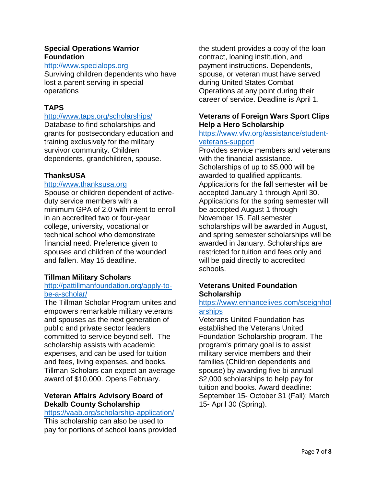### **Special Operations Warrior Foundation**

#### [http://www.specialops.org](http://www.specialops.org/)

Surviving children dependents who have lost a parent serving in special operations

## **TAPS**

#### <http://www.taps.org/scholarships/>

Database to find scholarships and grants for postsecondary education and training exclusively for the military survivor community. Children dependents, grandchildren, spouse.

#### **ThanksUSA**

#### [http://www.thanksusa.org](http://www.thanksusa.org/)

Spouse or children dependent of activeduty service members with a minimum GPA of 2.0 with intent to enroll in an accredited two or four-year college, university, vocational or technical school who demonstrate financial need. Preference given to spouses and children of the wounded and fallen. May 15 deadline.

## **Tillman Military Scholars**

#### [http://pattillmanfoundation.org/apply-to](http://pattillmanfoundation.org/apply-to-be-a-scholar/)[be-a-scholar/](http://pattillmanfoundation.org/apply-to-be-a-scholar/)

The Tillman Scholar Program unites and empowers remarkable military veterans and spouses as the next generation of public and private sector leaders committed to service beyond self. The scholarship assists with academic expenses, and can be used for tuition and fees, living expenses, and books. Tillman Scholars can expect an average award of \$10,000. Opens February.

#### **Veteran Affairs Advisory Board of Dekalb County Scholarship**

# <https://vaab.org/scholarship-application/>

This scholarship can also be used to pay for portions of school loans provided the student provides a copy of the loan contract, loaning institution, and payment instructions. Dependents, spouse, or veteran must have served during United States Combat Operations at any point during their career of service. Deadline is April 1.

## **Veterans of Foreign Wars Sport Clips Help a Hero Scholarship**

#### [https://www.vfw.org/assistance/student](https://www.vfw.org/assistance/student-veterans-support)[veterans-support](https://www.vfw.org/assistance/student-veterans-support)

Provides service members and veterans with the financial assistance. Scholarships of up to \$5,000 will be awarded to qualified applicants. Applications for the fall semester will be accepted January 1 through April 30. Applications for the spring semester will be accepted August 1 through November 15. Fall semester scholarships will be awarded in August, and spring semester scholarships will be awarded in January. Scholarships are restricted for tuition and fees only and will be paid directly to accredited schools.

#### **Veterans United Foundation Scholarship**

## [https://www.enhancelives.com/sceignhol](https://www.enhancelives.com/sceignholarships) [arships](https://www.enhancelives.com/sceignholarships)

Veterans United Foundation has established the Veterans United Foundation Scholarship program. The program's primary goal is to assist military service members and their families (Children dependents and spouse) by awarding five bi-annual \$2,000 scholarships to help pay for tuition and books. Award deadline: September 15- October 31 (Fall); March 15- April 30 (Spring).